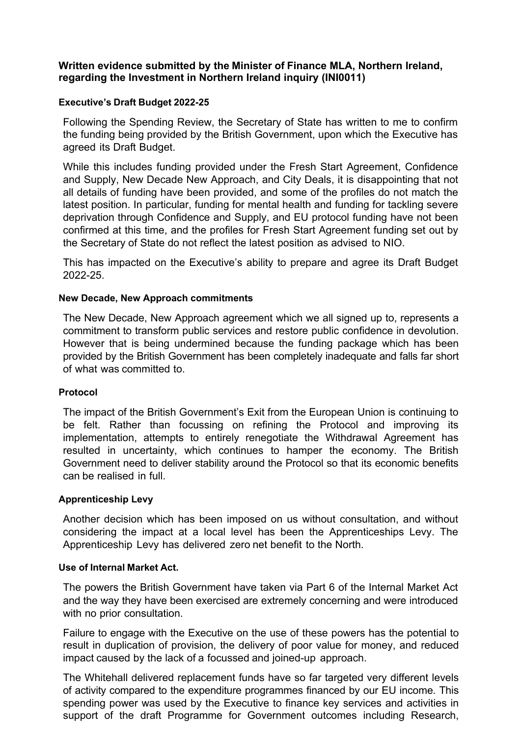# **Written evidence submitted by the Minister of Finance MLA, Northern Ireland, regarding the Investment in Northern Ireland inquiry (INI0011)**

## **Executive's Draft Budget 2022-25**

Following the Spending Review, the Secretary of State has written to me to confirm the funding being provided by the British Government, upon which the Executive has agreed its Draft Budget.

While this includes funding provided under the Fresh Start Agreement, Confidence and Supply, New Decade New Approach, and City Deals, it is disappointing that not all details of funding have been provided, and some of the profiles do not match the latest position. In particular, funding for mental health and funding for tackling severe deprivation through Confidence and Supply, and EU protocol funding have not been confirmed at this time, and the profiles for Fresh Start Agreement funding set out by the Secretary of State do not reflect the latest position as advised to NIO.

This has impacted on the Executive's ability to prepare and agree its Draft Budget 2022-25.

## **New Decade, New Approach commitments**

The New Decade, New Approach agreement which we all signed up to, represents a commitment to transform public services and restore public confidence in devolution. However that is being undermined because the funding package which has been provided by the British Government has been completely inadequate and falls far short of what was committed to.

#### **Protocol**

The impact of the British Government's Exit from the European Union is continuing to be felt. Rather than focussing on refining the Protocol and improving its implementation, attempts to entirely renegotiate the Withdrawal Agreement has resulted in uncertainty, which continues to hamper the economy. The British Government need to deliver stability around the Protocol so that its economic benefits can be realised in full.

#### **Apprenticeship Levy**

Another decision which has been imposed on us without consultation, and without considering the impact at a local level has been the Apprenticeships Levy. The Apprenticeship Levy has delivered zero net benefit to the North.

#### **Use of Internal Market Act.**

The powers the British Government have taken via Part 6 of the Internal Market Act and the way they have been exercised are extremely concerning and were introduced with no prior consultation.

Failure to engage with the Executive on the use of these powers has the potential to result in duplication of provision, the delivery of poor value for money, and reduced impact caused by the lack of a focussed and joined-up approach.

The Whitehall delivered replacement funds have so far targeted very different levels of activity compared to the expenditure programmes financed by our EU income. This spending power was used by the Executive to finance key services and activities in support of the draft Programme for Government outcomes including Research,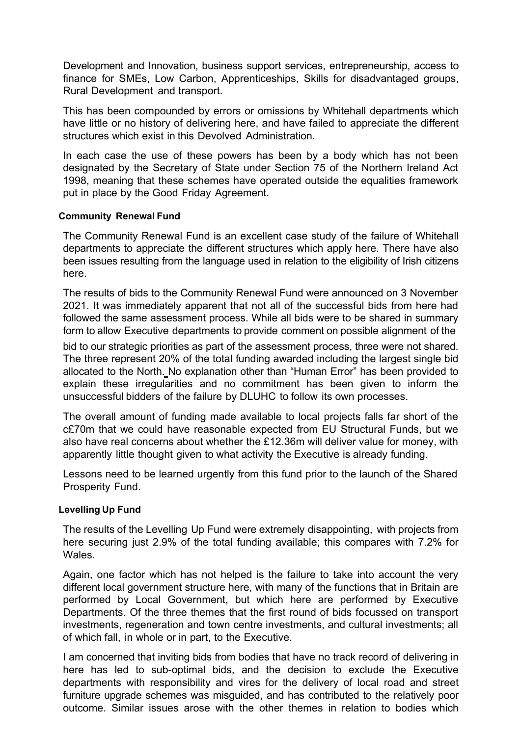Development and Innovation, business support services, entrepreneurship, access to finance for SMEs, Low Carbon, Apprenticeships, Skills for disadvantaged groups, Rural Development and transport.

This has been compounded by errors or omissions by Whitehall departments which have little or no history of delivering here, and have failed to appreciate the different structures which exist in this Devolved Administration.

In each case the use of these powers has been by a body which has not been designated by the Secretary of State under Section 75 of the Northern Ireland Act 1998, meaning that these schemes have operated outside the equalities framework put in place by the Good Friday Agreement.

#### **Community Renewal Fund**

The Community Renewal Fund is an excellent case study of the failure of Whitehall departments to appreciate the different structures which apply here. There have also been issues resulting from the language used in relation to the eligibility of Irish citizens here.

The results of bids to the Community Renewal Fund were announced on 3 November 2021. It was immediately apparent that not all of the successful bids from here had followed the same assessment process. While all bids were to be shared in summary form to allow Executive departments to provide comment on possible alignment of the

bid to our strategic priorities as part of the assessment process, three were not shared. The three represent 20% of the total funding awarded including the largest single bid allocated to the North. No explanation other than "Human Error" has been provided to explain these irregularities and no commitment has been given to inform the unsuccessful bidders of the failure by DLUHC to follow its own processes.

The overall amount of funding made available to local projects falls far short of the c£70m that we could have reasonable expected from EU Structural Funds, but we also have real concerns about whether the £12.36m will deliver value for money, with apparently little thought given to what activity the Executive is already funding.

Lessons need to be learned urgently from this fund prior to the launch of the Shared Prosperity Fund.

# **Levelling Up Fund**

The results of the Levelling Up Fund were extremely disappointing, with projects from here securing just 2.9% of the total funding available; this compares with 7.2% for Wales.

Again, one factor which has not helped is the failure to take into account the very different local government structure here, with many of the functions that in Britain are performed by Local Government, but which here are performed by Executive Departments. Of the three themes that the first round of bids focussed on transport investments, regeneration and town centre investments, and cultural investments; all of which fall, in whole or in part, to the Executive.

I am concerned that inviting bids from bodies that have no track record of delivering in here has led to sub-optimal bids, and the decision to exclude the Executive departments with responsibility and vires for the delivery of local road and street furniture upgrade schemes was misguided, and has contributed to the relatively poor outcome. Similar issues arose with the other themes in relation to bodies which